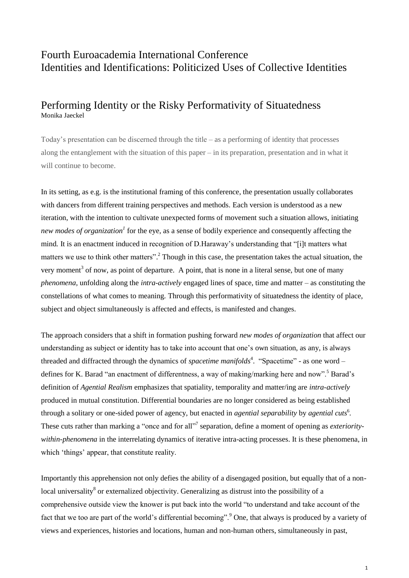# Fourth Euroacademia International Conference Identities and Identifications: Politicized Uses of Collective Identities

## Performing Identity or the Risky Performativity of Situatedness Monika Jaeckel

Today's presentation can be discerned through the title – as a performing of identity that processes along the entanglement with the situation of this paper – in its preparation, presentation and in what it will continue to become.

In its setting, as e.g. is the institutional framing of this conference, the presentation usually collaborates with dancers from different training perspectives and methods. Each version is understood as a new iteration, with the intention to cultivate unexpected forms of movement such a situation allows, initiating *new modes of organization<sup>1</sup>* for the eye, as a sense of bodily experience and consequently affecting the mind*.* It is an enactment induced in recognition of D.Haraway's understanding that "[i]t matters what matters we use to think other matters".<sup>2</sup> Though in this case, the presentation takes the actual situation, the very moment<sup>3</sup> of now, as point of departure. A point, that is none in a literal sense, but one of many *phenomena,* unfolding along the *intra-actively* engaged lines of space, time and matter – as constituting the constellations of what comes to meaning. Through this performativity of situatedness the identity of place, subject and object simultaneously is affected and effects, is manifested and changes.

The approach considers that a shift in formation pushing forward *new modes of organization* that affect our understanding as subject or identity has to take into account that one's own situation, as any, is always threaded and diffracted through the dynamics of *spacetime manifolds*<sup>4</sup>. "Spacetime" - as one word – defines for K. Barad "an enactment of differentness, a way of making/marking here and now".<sup>5</sup> Barad's definition of *Agential Realism* emphasizes that spatiality, temporality and matter/ing are *intra-actively* produced in mutual constitution. Differential boundaries are no longer considered as being established through a solitary or one-sided power of agency, but enacted in *agential separability* by *agential cuts*<sup>6</sup>. These cuts rather than marking a "once and for all"<sup>7</sup> separation, define a moment of opening as *exterioritywithin-phenomena* in the interrelating dynamics of iterative intra-acting processes. It is these phenomena, in which 'things' appear, that constitute reality.

Importantly this apprehension not only defies the ability of a disengaged position, but equally that of a nonlocal universality<sup>8</sup> or externalized objectivity. Generalizing as distrust into the possibility of a comprehensive outside view the knower is put back into the world "to understand and take account of the fact that we too are part of the world's differential becoming".<sup>9</sup> One, that always is produced by a variety of views and experiences, histories and locations, human and non-human others, simultaneously in past,

1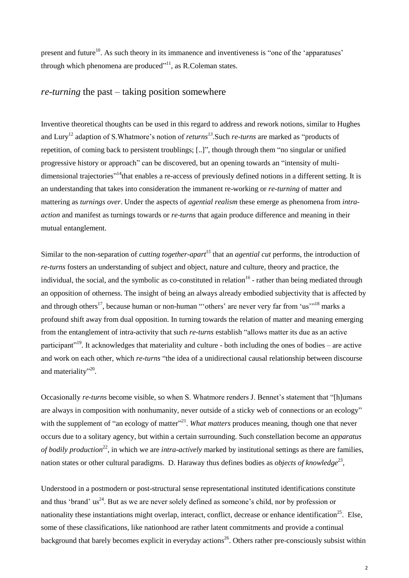present and future<sup>10</sup>. As such theory in its immanence and inventiveness is "one of the 'apparatuses' through which phenomena are produced"<sup>11</sup>, as R.Coleman states.

### *re-turning* the past – taking position somewhere

Inventive theoretical thoughts can be used in this regard to address and rework notions, similar to Hughes and Lury<sup>12</sup> adaption of S. Whatmore's notion of *returns*<sup>13</sup>. Such *re-turns* are marked as "products of repetition, of coming back to persistent troublings; [..]", though through them "no singular or unified progressive history or approach" can be discovered, but an opening towards an "intensity of multidimensional trajectories"<sup>14</sup>that enables a re-access of previously defined notions in a different setting. It is an understanding that takes into consideration the immanent re-working or *re-turning* of matter and mattering as *turnings over*. Under the aspects of *agential realism* these emerge as phenomena from *intraaction* and manifest as turnings towards or *re-turns* that again produce difference and meaning in their mutual entanglement.

Similar to the non-separation of *cutting together-apart<sup>15</sup>* that an *agential cut* performs, the introduction of *re-turns* fosters an understanding of subject and object, nature and culture, theory and practice, the individual, the social, and the symbolic as co-constituted in relation*<sup>16</sup>* - rather than being mediated through an opposition of otherness. The insight of being an always already embodied subjectivity that is affected by and through others<sup>17</sup>, because human or non-human ""others' are never very far from 'us'<sup>"18</sup> marks a profound shift away from dual opposition. In turning towards the relation of matter and meaning emerging from the entanglement of intra-activity that such *re-turns* establish "allows matter its due as an active participant<sup>"19</sup>. It acknowledges that materiality and culture - both including the ones of bodies – are active and work on each other, which *re-turns* "the idea of a unidirectional causal relationship between discourse and materiality"<sup>20</sup>.

Occasionally *re-turns* become visible, so when S. Whatmore renders J. Bennet's statement that "[h]umans are always in composition with nonhumanity, never outside of a sticky web of connections or an ecology" with the supplement of "an ecology of matter"<sup>21</sup>. *What matters* produces meaning, though one that never occurs due to a solitary agency, but within a certain surrounding. Such constellation become an *apparatus of bodily production*<sup>22</sup>, in which we are *intra-actively* marked by institutional settings as there are families, nation states or other cultural paradigms. D. Haraway thus defines bodies as *objects of knowledge*<sup>23</sup>,

Understood in a postmodern or post-structural sense representational instituted identifications constitute and thus 'brand' us<sup>24</sup>. But as we are never solely defined as someone's child, nor by profession or nationality these instantiations might overlap, interact, conflict, decrease or enhance identification<sup>25</sup>. Else, some of these classifications, like nationhood are rather latent commitments and provide a continual background that barely becomes explicit in everyday actions<sup>26</sup>. Others rather pre-consciously subsist within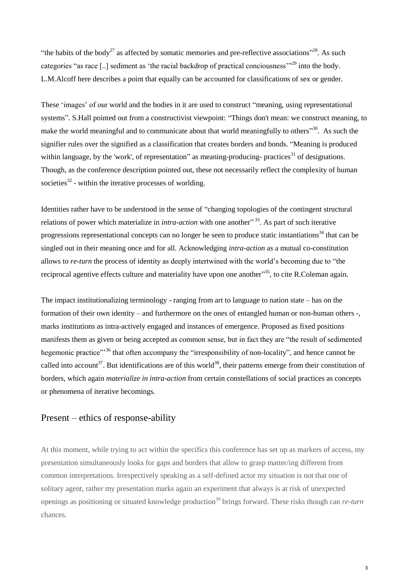"the habits of the body<sup>27</sup> as affected by somatic memories and pre-reflective associations"<sup>28</sup>. As such categories "as race [..] sediment as 'the racial backdrop of practical conciousness"<sup>29</sup> into the body. L.M.Alcoff here describes a point that equally can be accounted for classifications of sex or gender.

These 'images' of our world and the bodies in it are used to construct "meaning, using representational systems". S.Hall pointed out from a constructivist viewpoint: "Things don't mean: we construct meaning, to make the world meaningful and to communicate about that world meaningfully to others<sup>330</sup>. As such the signifier rules over the signified as a classification that creates borders and bonds. "Meaning is produced within language, by the 'work', of representation" as meaning-producing- practices<sup>31</sup> of designations. Though, as the conference description pointed out, these not necessarily reflect the complexity of human societies $32$  - within the iterative processes of worlding.

Identities rather have to be understood in the sense of "changing topologies of the contingent structural relations of power which materialize in *intra-action* with one another<sup>"33</sup>. As part of such iterative progressions representational concepts can no longer be seen to produce static instantiations<sup>34</sup> that can be singled out in their meaning once and for all. Acknowledging *intra-action* as a mutual co-constitution allows to *re-turn* the process of identity as deeply intertwined with the world's becoming due to "the reciprocal agentive effects culture and materiality have upon one another<sup>355</sup>, to cite R.Coleman again.

The impact institutionalizing terminology - ranging from art to language to nation state – has on the formation of their own identity – and furthermore on the ones of entangled human or non-human others -, marks institutions as intra-actively engaged and instances of emergence. Proposed as fixed positions manifests them as given or being accepted as common sense, but in fact they are "the result of sedimented hegemonic practice"<sup>36</sup> that often accompany the "irresponsibility of non-locality", and hence cannot be called into account<sup>37</sup>. But identifications are of this world<sup>38</sup>, their patterns emerge from their constitution of borders, which again *materialize in intra-action* from certain constellations of social practices as concepts or phenomena of iterative becomings.

### Present – ethics of response-ability

At this moment, while trying to act within the specifics this conference has set up as markers of access, my presentation simultaneously looks for gaps and borders that allow to grasp matter/ing different from common interpretations. Irrespectively speaking as a self-defined actor my situation is not that one of solitary agent, rather my presentation marks again an experiment that always is at risk of unexpected openings as positioning or situated knowledge production<sup>39</sup> brings forward. These risks though can *re-turn* chances.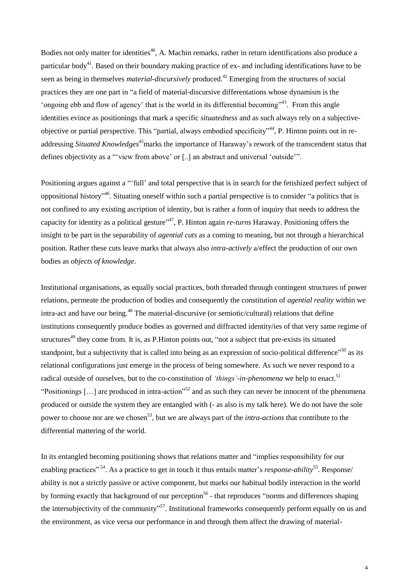Bodies not only matter for identities<sup>40</sup>, A. Machin remarks, rather in return identifications also produce a particular body<sup>41</sup>. Based on their boundary making practice of ex- and including identifications have to be seen as being in themselves *material-discursively* produced.<sup>42</sup> Emerging from the structures of social practices they are one part in "a field of material-discursive differentations whose dynamism is the 'ongoing ebb and flow of agency' that is the world in its differential becoming"<sup>43</sup>. From this angle identities evince as positionings that mark a specific *situatedness* and as such always rely on a subjectiveobjective or partial perspective. This "partial, always embodied specificity"<sup>44</sup>, P. Hinton points out in readdressing *Situated Knowledges<sup>45</sup>*marks the importance of Haraway's rework of the transcendent status that defines objectivity as a "'view from above' or [..] an abstract and universal 'outside'".

Positioning argues against a "'full' and total perspective that is in search for the fetishized perfect subject of oppositional history" <sup>46</sup>. Situating oneself within such a partial perspective is to consider "a politics that is not confined to any existing ascription of identity, but is rather a form of inquiry that needs to address the capacity for identity as a political gesture<sup>"47</sup>, P. Hinton again *re-turns* Haraway. Positioning offers the insight to be part in the separability of *agential cuts* as a coming to meaning, but not through a hierarchical position. Rather these cuts leave marks that always also *intra-actively* a/effect the production of our own bodies as *objects of knowledge*.

Institutional organisations, as equally social practices, both threaded through contingent structures of power relations, permeate the production of bodies and consequently the constitution of *agential reality* within we intra-act and have our being.<sup>48</sup> The material-discursive (or semiotic/cultural) relations that define institutions consequently produce bodies as governed and diffracted identity/ies of that very same regime of structures<sup>49</sup> they come from. It is, as P. Hinton points out, "not a subject that pre-exists its situated standpoint, but a subjectivity that is called into being as an expression of socio-political difference"<sup>50</sup> as its relational configurations just emerge in the process of being somewhere. As such we never respond to a radical outside of ourselves, but to the co-constitution of *'things'-in-phenomena* we help to enact.<sup>51</sup> "Positionings [...] are produced in intra-action"<sup>52</sup> and as such they can never be innocent of the phenomena produced or outside the system they are entangled with (- as also is my talk here). We do not have the sole power to choose nor are we chosen<sup>53</sup>, but we are always part of the *intra-actions* that contribute to the differential mattering of the world.

In its entangled becoming positioning shows that relations matter and "implies responsibility for our enabling practices"<sup>54</sup>. As a practice to get in touch it thus entails matter's *response-ability*<sup>55</sup>. Response/ ability is not a strictly passive or active component, but marks our habitual bodily interaction in the world by forming exactly that background of our perception<sup>56</sup> - that reproduces "norms and differences shaping the intersubjectivity of the community<sup>557</sup>. Institutional frameworks consequently perform equally on us and the environment, as vice versa our performance in and through them affect the drawing of material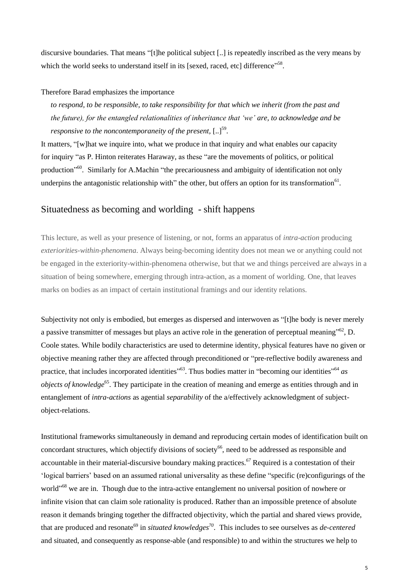discursive boundaries. That means "[t]he political subject [..] is repeatedly inscribed as the very means by which the world seeks to understand itself in its [sexed, raced, etc] difference"<sup>58</sup>.

#### Therefore Barad emphasizes the importance

*to respond, to be responsible, to take responsibility for that which we inherit (from the past and the future), for the entangled relationalities of inheritance that 'we' are, to acknowledge and be*  responsive to the noncontemporaneity of the present, [..]<sup>59</sup>.

It matters, "[w]hat we inquire into, what we produce in that inquiry and what enables our capacity for inquiry "as P. Hinton reiterates Haraway, as these "are the movements of politics, or political production<sup>"60</sup>. Similarly for A.Machin "the precariousness and ambiguity of identification not only underpins the antagonistic relationship with" the other, but offers an option for its transformation<sup>61</sup>.

## Situatedness as becoming and worlding - shift happens

This lecture, as well as your presence of listening, or not, forms an apparatus of *intra-action* producing *exteriorities-within-phenomena*. Always being-becoming identity does not mean we or anything could not be engaged in the exteriority-within-phenomena otherwise, but that we and things perceived are always in a situation of being somewhere, emerging through intra-action, as a moment of worlding. One, that leaves marks on bodies as an impact of certain institutional framings and our identity relations.

Subjectivity not only is embodied, but emerges as dispersed and interwoven as "[t]he body is never merely a passive transmitter of messages but plays an active role in the generation of perceptual meaning"<sup>62</sup>, D. Coole states. While bodily characteristics are used to determine identity, physical features have no given or objective meaning rather they are affected through preconditioned or "pre-reflective bodily awareness and practice, that includes incorporated identities<sup>"63</sup>. Thus bodies matter in "becoming our identities"<sup>64</sup> as *objects of knowledge*<sup>65</sup>. They participate in the creation of meaning and emerge as entities through and in entanglement of *intra-actions* as agential *separability* of the a/effectively acknowledgment of subjectobject-relations.

Institutional frameworks simultaneously in demand and reproducing certain modes of identification built on concordant structures, which objectify divisions of society<sup>66</sup>, need to be addressed as responsible and accountable in their material-discursive boundary making practices.*<sup>67</sup>* Required is a contestation of their 'logical barriers' based on an assumed rational universality as these define "specific (re)configurings of the world"<sup>68</sup> we are in. Though due to the intra-active entanglement no universal position of nowhere or infinite vision that can claim sole rationality is produced. Rather than an impossible pretence of absolute reason it demands bringing together the diffracted objectivity, which the partial and shared views provide, that are produced and resonate<sup>69</sup> in *situated knowledges*<sup>70</sup>. This includes to see ourselves as *de-centered* and situated, and consequently as response-able (and responsible) to and within the structures we help to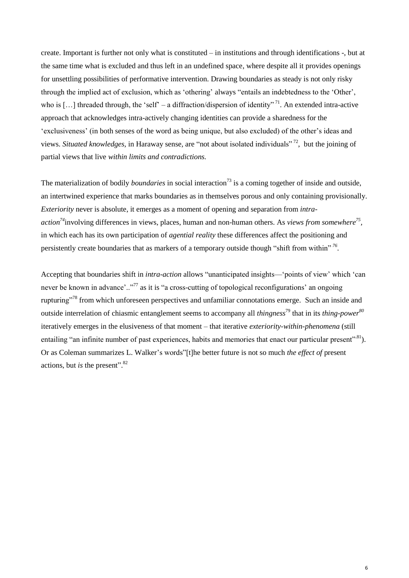create. Important is further not only what is constituted – in institutions and through identifications -, but at the same time what is excluded and thus left in an undefined space, where despite all it provides openings for unsettling possibilities of performative intervention. Drawing boundaries as steady is not only risky through the implied act of exclusion, which as 'othering' always "entails an indebtedness to the 'Other', who is [...] threaded through, the 'self' – a diffraction/dispersion of identity"<sup>71</sup>. An extended intra-active approach that acknowledges intra-actively changing identities can provide a sharedness for the 'exclusiveness' (in both senses of the word as being unique, but also excluded) of the other's ideas and views. *Situated knowledges,* in Haraway sense*,* are "not about isolated individuals" <sup>72</sup> , but the joining of partial views that live *within limits and contradictions.* 

The materialization of bodily *boundaries* in social interaction<sup>73</sup> is a coming together of inside and outside, an intertwined experience that marks boundaries as in themselves porous and only containing provisionally. *Exteriority* never is absolute, it emerges as a moment of opening and separation from *intraaction<sup>74</sup>*involving differences in views, places, human and non-human others. As *views from somewhere<sup>75</sup> ,*  in which each has its own participation of *agential reality* these differences affect the positioning and persistently create boundaries that as markers of a temporary outside though "shift from within" *<sup>76</sup> .*

Accepting that boundaries shift in *intra-action* allows "unanticipated insights—'points of view' which 'can never be known in advance'.."<sup>77</sup> as it is "a cross-cutting of topological reconfigurations' an ongoing rupturing"<sup>78</sup> from which unforeseen perspectives and unfamiliar connotations emerge. Such an inside and outside interrelation of chiasmic entanglement seems to accompany all *thingness*<sup>79</sup> that in its *thing-power 80* iteratively emerges in the elusiveness of that moment – that iterative *exteriority-within-phenomena* (still entailing "an infinite number of past experiences, habits and memories that enact our particular present".<sup>81</sup>). Or as Coleman summarizes L. Walker's words"[t]he better future is not so much *the effect of* present actions, but *is* the present". 82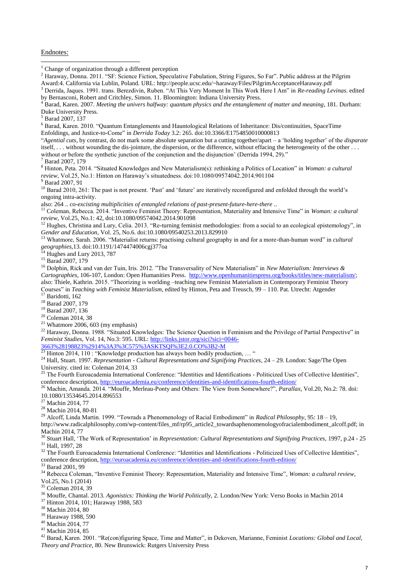#### Endnotes:

 $\overline{a}$ 

<sup>2</sup> Haraway, Donna. 2011. "SF: Science Fiction, Speculative Fabulation, String Figures, So Far". Public address at the Pilgrim Award:4. California via Lublin, Poland. URL: http://people.ucsc.edu/~haraway/Files/PilgrimAcceptanceHaraway.pdf

<sup>3</sup> Derrida, Jaques. 1991. trans. Berezdivin, Ruben. "At This Very Moment In This Work Here I Am" in *Re-reading Levinas*. edited by Bernasconi, Robert and Critchley, Simon. 11*.* Bloomington: Indiana University Press.

<sup>6</sup> Barad, Karen. 2010. "Quantum Entanglements and Hauntological Relations of Inheritance: Dis/continuities, SpaceTime Enfoldings, and Justice-to-Come" in *Derrida Today* 3.2: 265. doi:10.3366/E1754850010000813

"*Agential cuts*, by contrast, do not mark some absolute separation but a cutting together/apart – a 'holding together' of the *disparate* itself, . . . without wounding the dis-jointure, the dispersion, or the difference, without effacing the heterogeneity of the other . . . without or before the synthetic junction of the conjunction and the disjunction' (Derrida 1994, 29)."

Barad 2007, 179

<sup>8</sup> Hinton, Peta. 2014. "Situated Knowledges and New Materialism(s): rethinking a Politics of Location" in *Woman: a cultural review*, Vol.25, No.1: Hinton on Haraway's situatedness. doi:10.1080/09574042.2014.901104

<sup>9</sup> Barad 2007, 91

<sup>10</sup> Barad 2010, 261: The past is not present. 'Past' and 'future' are iteratively reconfigured and enfolded through the world's ongoing intra-activity.

also: 264 .. *co-excisting multiplicities of entangled relations of past-present-future-here-there* ..

<sup>11</sup> Coleman, Rebecca. 2014. "Inventive Feminist Theory: Representation, Materiality and Intensive Time" in *Woman: a cultural review*, Vol.25, No.1: 42, doi:10.1080/09574042.2014.901098

<sup>12</sup> Hughes, Christina and Lury, Celia. 2013. "Re-turning feminist methodologies: from a social to an ecological epistemology", in *Gender and Education,* Vol. 25, No.6. doi:10.1080/09540253.2013.829910

<sup>13</sup> Whatmore, Sarah. 2006. "Materialist returns: practising cultural geography in and for a more-than-human word" in *cultural geographies,*13. doi:10.1191/1474474006cgj377oa

<sup>14</sup> Hughes and Lury 2013, 787

<sup>15</sup> Barad 2007*,* 179

<sup>16</sup> Dolphin, Rick and van der Tuin, Iris. 2012. "The Transversality of New Materialism" in *New Materialism: Interviews & Cartographies*, 106-107, London: Open Humanities Press. [http://www.openhumanitiespress.org/books/titles/new-materialism/;](http://www.openhumanitiespress.org/books/titles/new-materialism/) also: Thiele, Kathrin. 2015. "Theorizing is worlding –teaching new Feminist Materialism in Contemporary Feminist Theory Courses" in *Teaching with Feminist Materialism*, edited by Hinton, Peta and Treusch, 99 – 110. Pat. Utrecht: Atgender <sup>17</sup> Baridotti, 162

<sup>18</sup> Barad 2007, 179

<sup>19</sup> Barad 2007, 136

- $20$  Coleman 2014, 38
- $21$  Whatmore 2006, 603 (my emphasis)

<sup>22</sup> Haraway, Donna. 1988. "Situated Knowledges: The Science Question in Feminism and the Privilege of Partial Perspective" in *Feminist Studies*, Vol. 14, No.3: 595. URL: [http://links.jstor.org/sici?sici=0046-](http://links.jstor.org/sici?sici=0046-3663%28198823%2914%3A3%3C575%3ASKTSQI%3E2.0.CO%3B2-M)

[3663%28198823%2914%3A3%3C575%3ASKTSQI%3E2.0.CO%3B2-M](http://links.jstor.org/sici?sici=0046-3663%28198823%2914%3A3%3C575%3ASKTSQI%3E2.0.CO%3B2-M)

 $^{23}$  Hinton 2014, 110 : "Knowledge production has always been bodily production, ... "

<sup>24</sup> Hall, Stuart. 1997. *Representation - Cultural Representations and Signifying Practices*, 24 – 29. London: Sage/The Open University. cited in: Coleman 2014, 33

<sup>25</sup> The Fourth Euroacademia International Conference: "Identities and Identifications - Politicized Uses of Collective Identities", conference description,<http://euroacademia.eu/conference/identities-and-identifications-fourth-edition/>

<sup>26</sup> Machin, Amanda. 2014. "Mouffe, Merleau-Ponty and Others: The View from Somewhere?", *Parallax*, Vol.20, No.2: 78. doi: 10.1080/13534645.2014.896553

<sup>27</sup> Machin 2014, 77

<sup>28</sup> Machin 2014, 80-81

<sup>29</sup> Alcoff, Linda Martin. 1999. "Towrads a Phenomenology of Racial Embodiment" in *Radical Philosophy*, 95: 18 – 19,

http://www.radicalphilosophy.com/wp-content/files\_mf/rp95\_article2\_towardsaphenomenologyofracialembodiment\_alcoff.pdf; in Machin 2014, 77

<sup>30</sup> Stuart Hall, 'The Work of Representation' in *Representation: Cultural Representations and Signifying Practices*, 1997, p.24 - 25 <sup>31</sup> Hall, 1997, 28

<sup>32</sup> The Fourth Euroacademia International Conference: "Identities and Identifications - Politicized Uses of Collective Identities", conference description,<http://euroacademia.eu/conference/identities-and-identifications-fourth-edition/>

Barad 2001, 99

<sup>34</sup> Rebecca Coleman, "Inventive Feminist Theory: Representation, Materiality and Intensive Time", *Woman: a cultural review*, Vol.25, No.1 (2014)

<sup>35</sup> Coleman 2014, 39

<sup>36</sup> Mouffe, Chantal. 2013. *Agonistics: Thinking the World Politically*, 2. London/New York: Verso Books in Machin 2014

<sup>37</sup> Hinton 2014, 101; Haraway 1988, 583

<sup>38</sup> Machin 2014, 80

<sup>39</sup> Haraway 1988, 590

<sup>40</sup> Machin 2014, 77

 $41$  Machin 2014, 85

<sup>42</sup> Barad, Karen. 2001. "Re(con)figuring Space, Time and Matter", in Dekoven, Marianne, Feminist *Locations: Global and Local, Theory and Practice*, 80. New Brunswick: Rutgers University Press

 $1$  Change of organization through a different perception

<sup>4</sup> Barad, Karen. 2007. *Meeting the univers halfway: quantum physics and the entanglement of matter and meaning*, 181. Durham: Duke University Press.

<sup>&</sup>lt;sup>5</sup> Barad 2007, 137